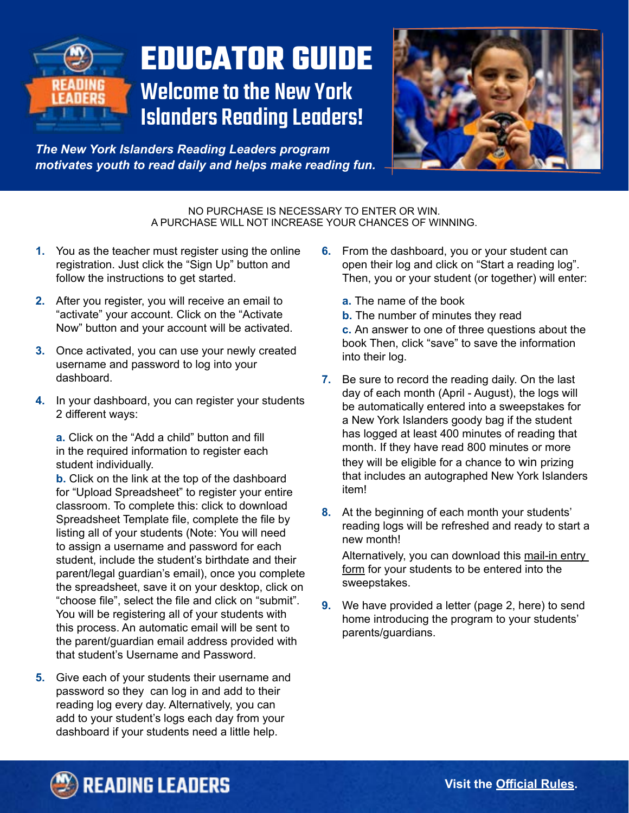

# **EDUCATOR GUIDE** Welcome to the New York

Islanders Reading Leaders!

*The New York Islanders Reading Leaders program motivates youth to read daily and helps make reading fun.* 

> NO PURCHASE IS NECESSARY TO ENTER OR WIN. A PURCHASE WILL NOT INCREASE YOUR CHANCES OF WINNING.

- **1.** You as the teacher must register using the online registration. Just click the "Sign Up" button and follow the instructions to get started.
- **2.** After you register, you will receive an email to "activate" your account. Click on the "Activate Now" button and your account will be activated.
- **3.** Once activated, you can use your newly created username and password to log into your dashboard.
- **4.** In your dashboard, you can register your students 2 different ways:

**a.** Click on the "Add a child" button and fill in the required information to register each student individually.

**b.** Click on the link at the top of the dashboard for "Upload Spreadsheet" to register your entire classroom. To complete this: click to download Spreadsheet Template file, complete the file by listing all of your students (Note: You will need to assign a username and password for each student, include the student's birthdate and their parent/legal guardian's email), once you complete the spreadsheet, save it on your desktop, click on "choose file", select the file and click on "submit". You will be registering all of your students with this process. An automatic email will be sent to the parent/guardian email address provided with that student's Username and Password.

**5.** Give each of your students their username and password so they can log in and add to their reading log every day. Alternatively, you can add to your student's logs each day from your dashboard if your students need a little help.

- **6.** From the dashboard, you or your student can open their log and click on "Start a reading log". Then, you or your student (or together) will enter:
	- **a.** The name of the book
	- **b.** The number of minutes they read

**c.** An answer to one of three questions about the book Then, click "save" to save the information into their log.

- **7.** Be sure to record the reading daily. On the last day of each month (April - August), the logs will be automatically entered into a sweepstakes for a New York Islanders goody bag if the student has logged at least 400 minutes of reading that month. If they have read 800 minutes or more they will be eligible for a chance to win prizing that includes an autographed New York Islanders item!
- **8.** At the beginning of each month your students' reading logs will be refreshed and ready to start a new month!

Alternatively, you can download this mail-in entry [form](http://www.IslandersReadingLeaders.com/mail-entry.pdf) for your students to be entered into the sweepstakes.

**9.** We have provided a letter (page 2, here) to send home introducing the program to your students' parents/guardians.

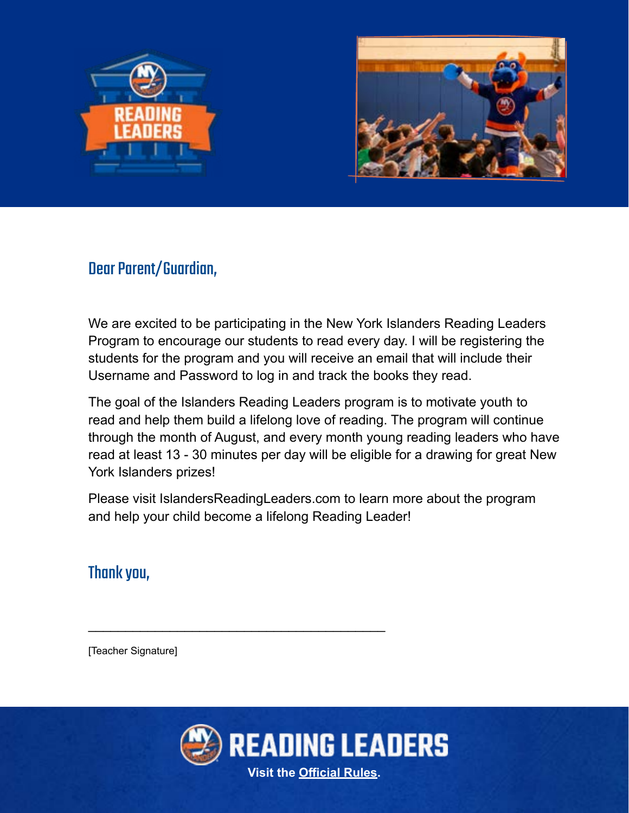



### Dear Parent/Guardian,

We are excited to be participating in the New York Islanders Reading Leaders Program to encourage our students to read every day. I will be registering the students for the program and you will receive an email that will include their Username and Password to log in and track the books they read.

The goal of the Islanders Reading Leaders program is to motivate youth to read and help them build a lifelong love of reading. The program will continue through the month of August, and every month young reading leaders who have read at least 13 - 30 minutes per day will be eligible for a drawing for great New York Islanders prizes!

Please visit IslandersReadingLeaders.com to learn more about the program and help your child become a lifelong Reading Leader!

## Thank you,

[Teacher Signature]



\_\_\_\_\_\_\_\_\_\_\_\_\_\_\_\_\_\_\_\_\_\_\_\_\_\_\_\_\_\_\_\_\_\_\_\_\_\_\_\_